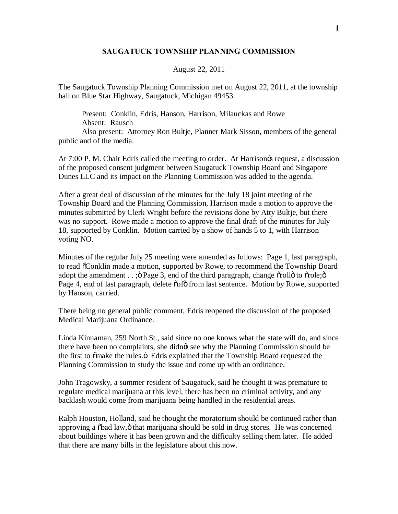## **SAUGATUCK TOWNSHIP PLANNING COMMISSION**

## August 22, 2011

The Saugatuck Township Planning Commission met on August 22, 2011, at the township hall on Blue Star Highway, Saugatuck, Michigan 49453.

Present: Conklin, Edris, Hanson, Harrison, Milauckas and Rowe Absent: Rausch Also present: Attorney Ron Bultje, Planner Mark Sisson, members of the general public and of the media.

At 7:00 P. M. Chair Edris called the meeting to order. At Harrisongs request, a discussion of the proposed consent judgment between Saugatuck Township Board and Singapore Dunes LLC and its impact on the Planning Commission was added to the agenda.

After a great deal of discussion of the minutes for the July 18 joint meeting of the Township Board and the Planning Commission, Harrison made a motion to approve the minutes submitted by Clerk Wright before the revisions done by Atty Bultje, but there was no support. Rowe made a motion to approve the final draft of the minutes for July 18, supported by Conklin. Motion carried by a show of hands 5 to 1, with Harrison voting NO.

Minutes of the regular July 25 meeting were amended as follows: Page 1, last paragraph, to read "Conklin made a motion, supported by Rowe, to recommend the Township Board adopt the amendment . . ;  $\ddot{\text{o}}$  Page 3, end of the third paragraph, change  $\ddot{\text{o}}$ roll $\ddot{\text{o}}$  to  $\ddot{\text{o}}$ role; $\ddot{\text{o}}$ Page 4, end of last paragraph, delete  $\tilde{\text{co}}$  from last sentence. Motion by Rowe, supported by Hanson, carried.

There being no general public comment, Edris reopened the discussion of the proposed Medical Marijuana Ordinance.

Linda Kinnaman, 259 North St., said since no one knows what the state will do, and since there have been no complaints, she didnet see why the Planning Commission should be the first to omake the rules. The Edris explained that the Township Board requested the Planning Commission to study the issue and come up with an ordinance.

John Tragowsky, a summer resident of Saugatuck, said he thought it was premature to regulate medical marijuana at this level, there has been no criminal activity, and any backlash would come from marijuana being handled in the residential areas.

Ralph Houston, Holland, said he thought the moratorium should be continued rather than approving a  $\delta$ bad law, $\ddot{\text{o}}$  that marijuana should be sold in drug stores. He was concerned about buildings where it has been grown and the difficulty selling them later. He added that there are many bills in the legislature about this now.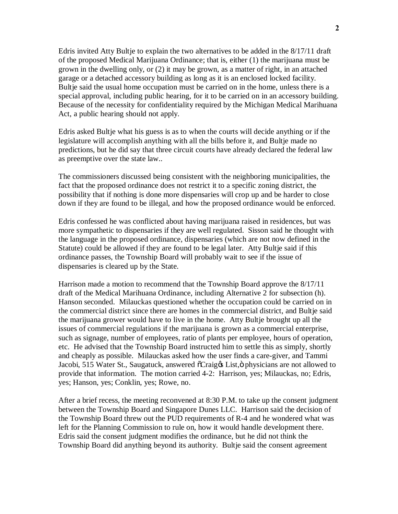Edris invited Atty Bultje to explain the two alternatives to be added in the 8/17/11 draft of the proposed Medical Marijuana Ordinance; that is, either (1) the marijuana must be grown in the dwelling only, or (2) it may be grown, as a matter of right, in an attached garage or a detached accessory building as long as it is an enclosed locked facility. Bultie said the usual home occupation must be carried on in the home, unless there is a special approval, including public hearing, for it to be carried on in an accessory building. Because of the necessity for confidentiality required by the Michigan Medical Marihuana Act, a public hearing should not apply.

Edris asked Bultje what his guess is as to when the courts will decide anything or if the legislature will accomplish anything with all the bills before it, and Bultje made no predictions, but he did say that three circuit courts have already declared the federal law as preemptive over the state law..

The commissioners discussed being consistent with the neighboring municipalities, the fact that the proposed ordinance does not restrict it to a specific zoning district, the possibility that if nothing is done more dispensaries will crop up and be harder to close down if they are found to be illegal, and how the proposed ordinance would be enforced.

Edris confessed he was conflicted about having marijuana raised in residences, but was more sympathetic to dispensaries if they are well regulated. Sisson said he thought with the language in the proposed ordinance, dispensaries (which are not now defined in the Statute) could be allowed if they are found to be legal later. Atty Bultje said if this ordinance passes, the Township Board will probably wait to see if the issue of dispensaries is cleared up by the State.

Harrison made a motion to recommend that the Township Board approve the 8/17/11 draft of the Medical Marihuana Ordinance, including Alternative 2 for subsection (h). Hanson seconded. Milauckas questioned whether the occupation could be carried on in the commercial district since there are homes in the commercial district, and Bultje said the marijuana grower would have to live in the home. Atty Bultje brought up all the issues of commercial regulations if the marijuana is grown as a commercial enterprise, such as signage, number of employees, ratio of plants per employee, hours of operation, etc. He advised that the Township Board instructed him to settle this as simply, shortly and cheaply as possible. Milauckas asked how the user finds a care-giver, and Tammi Jacobi, 515 Water St., Saugatuck, answered  $\delta$ Craig & List,  $\ddot{o}$  physicians are not allowed to provide that information. The motion carried 4-2: Harrison, yes; Milauckas, no; Edris, yes; Hanson, yes; Conklin, yes; Rowe, no.

After a brief recess, the meeting reconvened at 8:30 P.M. to take up the consent judgment between the Township Board and Singapore Dunes LLC. Harrison said the decision of the Township Board threw out the PUD requirements of R-4 and he wondered what was left for the Planning Commission to rule on, how it would handle development there. Edris said the consent judgment modifies the ordinance, but he did not think the Township Board did anything beyond its authority. Bultje said the consent agreement